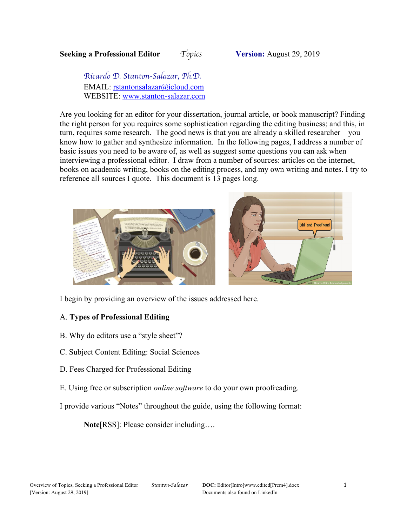*Ricardo D. Stanton-Salazar, Ph.D.* EMAIL: rstantonsalazar@icloud.com WEBSITE: www.stanton-salazar.com

Are you looking for an editor for your dissertation, journal article, or book manuscript? Finding the right person for you requires some sophistication regarding the editing business; and this, in turn, requires some research. The good news is that you are already a skilled researcher—you know how to gather and synthesize information. In the following pages, I address a number of basic issues you need to be aware of, as well as suggest some questions you can ask when interviewing a professional editor. I draw from a number of sources: articles on the internet, books on academic writing, books on the editing process, and my own writing and notes. I try to reference all sources I quote. This document is 13 pages long.



I begin by providing an overview of the issues addressed here.

## A. **Types of Professional Editing**

- B. Why do editors use a "style sheet"?
- C. Subject Content Editing: Social Sciences
- D. Fees Charged for Professional Editing
- E. Using free or subscription *online software* to do your own proofreading.

I provide various "Notes" throughout the guide, using the following format:

**Note**[RSS]: Please consider including….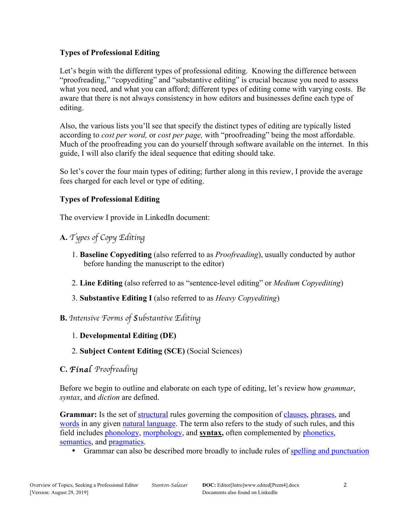## **Types of Professional Editing**

Let's begin with the different types of professional editing. Knowing the difference between "proofreading," "copyediting" and "substantive editing" is crucial because you need to assess what you need, and what you can afford; different types of editing come with varying costs. Be aware that there is not always consistency in how editors and businesses define each type of editing.

Also, the various lists you'll see that specify the distinct types of editing are typically listed according to *cost per word,* or *cost per page,* with "proofreading" being the most affordable. Much of the proofreading you can do yourself through software available on the internet. In this guide, I will also clarify the ideal sequence that editing should take.

So let's cover the four main types of editing; further along in this review, I provide the average fees charged for each level or type of editing.

## **Types of Professional Editing**

The overview I provide in LinkedIn document:

# **A.** *Types of Copy Editing*

- 1. **Baseline Copyediting** (also referred to as *Proofreading*), usually conducted by author before handing the manuscript to the editor)
- 2. **Line Editing** (also referred to as "sentence-level editing" or *Medium Copyediting*)
- 3. **Substantive Editing I** (also referred to as *Heavy Copyediting*)
- **B.** *Intensive Forms of Substantive Editing*

## 1. **Developmental Editing (DE)**

2. **Subject Content Editing (SCE)** (Social Sciences)

# **C.** *Final Proofreading*

Before we begin to outline and elaborate on each type of editing, let's review how *grammar*, *syntax*, and *diction* are defined.

Grammar: Is the set of structural rules governing the composition of clauses, phrases, and words in any given natural language. The term also refers to the study of such rules, and this field includes phonology, morphology, and **syntax,** often complemented by phonetics, semantics, and pragmatics.

• Grammar can also be described more broadly to include rules of spelling and punctuation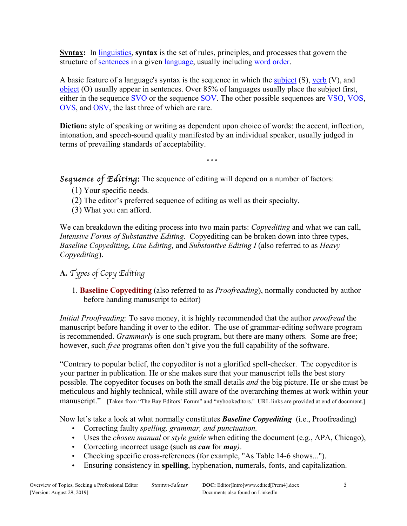**Syntax:** In linguistics, **syntax** is the set of rules, principles, and processes that govern the structure of sentences in a given language, usually including word order.

A basic feature of a language's syntax is the sequence in which the subject  $(S)$ , verb  $(V)$ , and object (O) usually appear in sentences. Over 85% of languages usually place the subject first, either in the sequence SVO or the sequence SOV. The other possible sequences are VSO, VOS, OVS, and OSV, the last three of which are rare.

**Diction:** style of speaking or writing as dependent upon choice of words: the accent, inflection, intonation, and speech-sound quality manifested by an individual speaker, usually judged in terms of prevailing standards of acceptability.

\* \* \*

*Sequence of Editing:* The sequence of editing will depend on a number of factors:

- (1) Your specific needs.
- (2) The editor's preferred sequence of editing as well as their specialty.
- (3) What you can afford.

We can breakdown the editing process into two main parts: *Copyediting* and what we can call, *Intensive Forms of Substantive Editing.* Copyediting can be broken down into three types, *Baseline Copyediting, Line Editing,* and *Substantive Editing I* (also referred to as *Heavy Copyediting*).

## **A.** *Types of Copy Editing*

1. **Baseline Copyediting** (also referred to as *Proofreading*), normally conducted by author before handing manuscript to editor)

*Initial Proofreading:* To save money, it is highly recommended that the author *proofread* the manuscript before handing it over to the editor. The use of grammar-editing software program is recommended. *Grammarly* is one such program, but there are many others. Some are free; however, such *free* programs often don't give you the full capability of the software.

"Contrary to popular belief, the copyeditor is not a glorified spell-checker. The copyeditor is your partner in publication. He or she makes sure that your manuscript tells the best story possible. The copyeditor focuses on both the small details *and* the big picture. He or she must be meticulous and highly technical, while still aware of the overarching themes at work within your manuscript." [Taken from "The Bay Editors' Forum" and "nybookeditors." URL links are provided at end of document.]

Now let's take a look at what normally constitutes *Baseline Copyediting*(i.e., Proofreading)

- Correcting faulty *spelling, grammar, and punctuation.*
- Uses the *chosen manual* or *style guide* when editing the document (e.g., APA, Chicago),
- Correcting incorrect usage (such as *can* for *may)*.
- Checking specific cross-references (for example, "As Table 14-6 shows...").
- Ensuring consistency in **spelling**, hyphenation, numerals, fonts, and capitalization.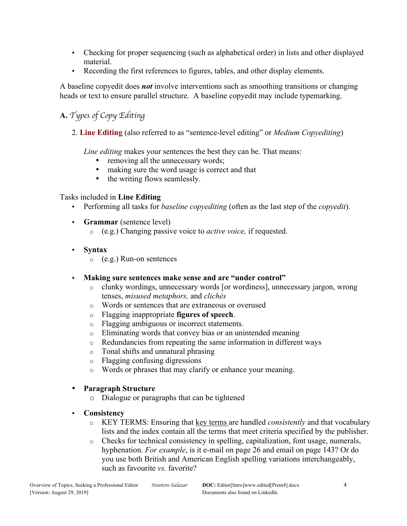- Checking for proper sequencing (such as alphabetical order) in lists and other displayed material.
- Recording the first references to figures, tables, and other display elements.

A baseline copyedit does *not* involve interventions such as smoothing transitions or changing heads or text to ensure parallel structure. A baseline copyedit may include typemarking.

# **A.** *Types of Copy Editing*

2. **Line Editing** (also referred to as "sentence-level editing" or *Medium Copyediting*)

*Line editing* makes your sentences the best they can be. That means:

- removing all the unnecessary words;
- making sure the word usage is correct and that
- the writing flows seamlessly.

## Tasks included in **Line Editing**

- Performing all tasks for *baseline copyediting* (often as the last step of the *copyedit*).
- **Grammar** (sentence level)
	- o (e.g.) Changing passive voice to *active voice,* if requested.
- **Syntax**
	- o (e.g.) Run-on sentences
- **Making sure sentences make sense and are "under control"**
	- o clunky wordings, unnecessary words [or wordiness], unnecessary jargon, wrong tenses, *misused metaphors,* and *clichés*
	- o Words or sentences that are extraneous or overused
	- o Flagging inappropriate **figures of speech**.
	- o Flagging ambiguous or incorrect statements.
	- o Eliminating words that convey bias or an unintended meaning
	- o Redundancies from repeating the same information in different ways
	- o Tonal shifts and unnatural phrasing
	- o Flagging confusing digressions
	- o Words or phrases that may clarify or enhance your meaning.

### • **Paragraph Structure**

- o Dialogue or paragraphs that can be tightened
- **Consistency**
	- o KEY TERMS: Ensuring that key terms are handled *consistently* and that vocabulary lists and the index contain all the terms that meet criteria specified by the publisher.
	- o Checks for technical consistency in spelling, capitalization, font usage, numerals, hyphenation. *For example*, is it e-mail on page 26 and email on page 143? Or do you use both British and American English spelling variations interchangeably, such as favourite *vs.* favorite?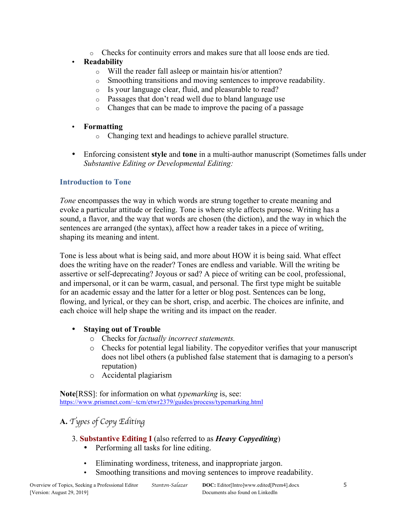o Checks for continuity errors and makes sure that all loose ends are tied.

### • **Readability**

- o Will the reader fall asleep or maintain his/or attention?
- o Smoothing transitions and moving sentences to improve readability.
- o Is your language clear, fluid, and pleasurable to read?
- o Passages that don't read well due to bland language use
- o Changes that can be made to improve the pacing of a passage

#### • **Formatting**

- o Changing text and headings to achieve parallel structure.
- Enforcing consistent **style** and **tone** in a multi-author manuscript (Sometimes falls under *Substantive Editing or Developmental Editing:*

#### **Introduction to Tone**

*Tone* encompasses the way in which words are strung together to create meaning and evoke a particular attitude or feeling. Tone is where style affects purpose. Writing has a sound, a flavor, and the way that words are chosen (the diction), and the way in which the sentences are arranged (the syntax), affect how a reader takes in a piece of writing, shaping its meaning and intent.

Tone is less about what is being said, and more about HOW it is being said. What effect does the writing have on the reader? Tones are endless and variable. Will the writing be assertive or self-deprecating? Joyous or sad? A piece of writing can be cool, professional, and impersonal, or it can be warm, casual, and personal. The first type might be suitable for an academic essay and the latter for a letter or blog post. Sentences can be long, flowing, and lyrical, or they can be short, crisp, and acerbic. The choices are infinite, and each choice will help shape the writing and its impact on the reader.

### • **Staying out of Trouble**

- o Checks for *factually incorrect statements.*
- o Checks for potential legal liability. The copyeditor verifies that your manuscript does not libel others (a published false statement that is damaging to a person's reputation)
- o Accidental plagiarism

**Note**[RSS]: for information on what *typemarking* is, see: https://www.prismnet.com/~tcm/etwr2379/guides/process/typemarking.html

## **A.** *Types of Copy Editing*

#### 3. **Substantive Editing I** (also referred to as *Heavy Copyediting*)

- Performing all tasks for line editing.
- Eliminating wordiness, triteness, and inappropriate jargon.
- Smoothing transitions and moving sentences to improve readability.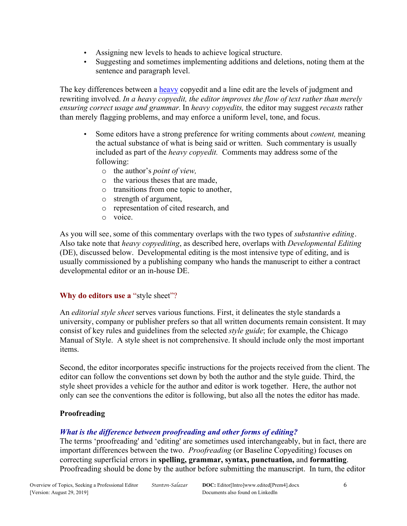- Assigning new levels to heads to achieve logical structure.
- Suggesting and sometimes implementing additions and deletions, noting them at the sentence and paragraph level.

The key differences between a heavy copyedit and a line edit are the levels of judgment and rewriting involved. *In a heavy copyedit, the editor improves the flow of text rather than merely ensuring correct usage and grammar.* In *heavy copyedits,* the editor may suggest *recasts* rather than merely flagging problems, and may enforce a uniform level, tone, and focus.

- Some editors have a strong preference for writing comments about *content,* meaning the actual substance of what is being said or written. Such commentary is usually included as part of the *heavy copyedit.* Comments may address some of the following:
	- o the author's *point of view,*
	- o the various theses that are made,
	- o transitions from one topic to another,
	- o strength of argument,
	- o representation of cited research, and
	- o voice.

As you will see, some of this commentary overlaps with the two types of *substantive editing.* Also take note that *heavy copyediting*, as described here, overlaps with *Developmental Editing* (DE), discussed below. Developmental editing is the most intensive type of editing, and is usually commissioned by a publishing company who hands the manuscript to either a contract developmental editor or an in-house DE.

## **Why do editors use a** "style sheet"?

An *editorial style sheet* serves various functions. First, it delineates the style standards a university, company or publisher prefers so that all written documents remain consistent. It may consist of key rules and guidelines from the selected *style guide*; for example, the Chicago Manual of Style. A style sheet is not comprehensive. It should include only the most important items.

Second, the editor incorporates specific instructions for the projects received from the client. The editor can follow the conventions set down by both the author and the style guide. Third, the style sheet provides a vehicle for the author and editor is work together. Here, the author not only can see the conventions the editor is following, but also all the notes the editor has made.

## **Proofreading**

## *What is the difference between proofreading and other forms of editing?*

The terms 'proofreading' and 'editing' are sometimes used interchangeably, but in fact, there are important differences between the two. *Proofreading* (or Baseline Copyediting) focuses on correcting superficial errors in **spelling, grammar, syntax, punctuation,** and **formatting**. Proofreading should be done by the author before submitting the manuscript. In turn, the editor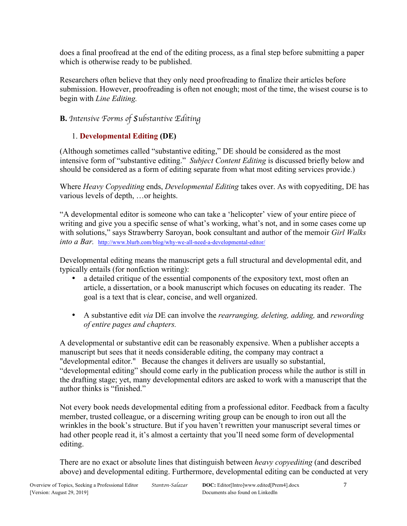does a final proofread at the end of the editing process, as a final step before submitting a paper which is otherwise ready to be published.

Researchers often believe that they only need proofreading to finalize their articles before submission. However, proofreading is often not enough; most of the time, the wisest course is to begin with *Line Editing.*

## **B.** *Intensive Forms of Substantive Editing*

## 1. **Developmental Editing (DE)**

(Although sometimes called "substantive editing," DE should be considered as the most intensive form of "substantive editing." *Subject Content Editing* is discussed briefly below and should be considered as a form of editing separate from what most editing services provide.)

Where *Heavy Copyediting* ends, *Developmental Editing* takes over. As with copyediting, DE has various levels of depth, …or heights.

"A developmental editor is someone who can take a 'helicopter' view of your entire piece of writing and give you a specific sense of what's working, what's not, and in some cases come up with solutions," says Strawberry Saroyan, book consultant and author of the memoir *Girl Walks into a Bar.* http://www.blurb.com/blog/why-we-all-need-a-developmental-editor/

Developmental editing means the manuscript gets a full structural and developmental edit, and typically entails (for nonfiction writing):

- a detailed critique of the essential components of the expository text, most often an article, a dissertation, or a book manuscript which focuses on educating its reader. The goal is a text that is clear, concise, and well organized.
- A substantive edit *via* DE can involve the *rearranging, deleting, adding,* and *rewording of entire pages and chapters.*

A developmental or substantive edit can be reasonably expensive. When a publisher accepts a manuscript but sees that it needs considerable editing, the company may contract a "developmental editor." Because the changes it delivers are usually so substantial, "developmental editing" should come early in the publication process while the author is still in the drafting stage; yet, many developmental editors are asked to work with a manuscript that the author thinks is "finished."

Not every book needs developmental editing from a professional editor. Feedback from a faculty member, trusted colleague, or a discerning writing group can be enough to iron out all the wrinkles in the book's structure. But if you haven't rewritten your manuscript several times or had other people read it, it's almost a certainty that you'll need some form of developmental editing.

There are no exact or absolute lines that distinguish between *heavy copyediting* (and described above) and developmental editing. Furthermore, developmental editing can be conducted at very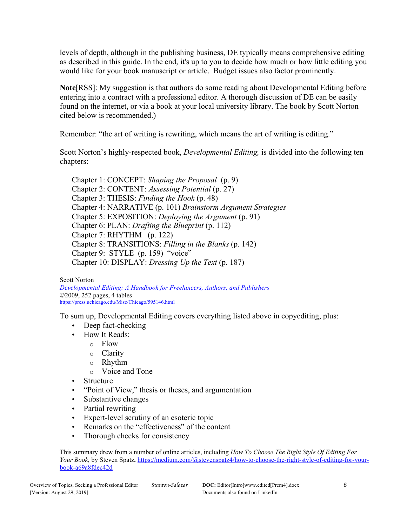levels of depth, although in the publishing business, DE typically means comprehensive editing as described in this guide. In the end, it's up to you to decide how much or how little editing you would like for your book manuscript or article. Budget issues also factor prominently.

**Note**[RSS]: My suggestion is that authors do some reading about Developmental Editing before entering into a contract with a professional editor. A thorough discussion of DE can be easily found on the internet, or via a book at your local university library. The book by Scott Norton cited below is recommended.)

Remember: "the art of writing is rewriting, which means the art of writing is editing."

Scott Norton's highly-respected book, *Developmental Editing,* is divided into the following ten chapters:

Chapter 1: CONCEPT: *Shaping the Proposal* (p. 9) Chapter 2: CONTENT: *Assessing Potential* (p. 27) Chapter 3: THESIS: *Finding the Hook* (p. 48) Chapter 4: NARRATIVE (p. 101) *Brainstorm Argument Strategies* Chapter 5: EXPOSITION: *Deploying the Argument* (p. 91) Chapter 6: PLAN: *Drafting the Blueprint* (p. 112) Chapter 7: RHYTHM (p. 122) Chapter 8: TRANSITIONS: *Filling in the Blanks* (p. 142) Chapter 9: STYLE (p. 159) "voice" Chapter 10: DISPLAY: *Dressing Up the Text* (p. 187)

Scott Norton *Developmental Editing: A Handbook for Freelancers, Authors, and Publishers* ©2009, 252 pages, 4 tables https://press.uchicago.edu/Misc/Chicago/595146.html

To sum up, Developmental Editing covers everything listed above in copyediting, plus:

- Deep fact-checking
- How It Reads:
	- o Flow
	- o Clarity
	- o Rhythm
	- o Voice and Tone
- Structure
- "Point of View," thesis or theses, and argumentation
- Substantive changes
- Partial rewriting
- Expert-level scrutiny of an esoteric topic
- Remarks on the "effectiveness" of the content
- Thorough checks for consistency

This summary drew from a number of online articles, including *How To Choose The Right Style Of Editing For Your Book,* by Steven Spatz**.** https://medium.com/@stevenspatz4/how-to-choose-the-right-style-of-editing-for-yourbook-a69a8fdec42d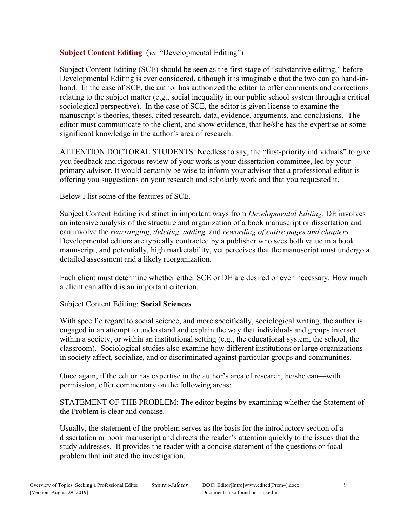### **Subject Content Editing** (*vs.* "Developmental Editing")

Subject Content Editing (SCE) should be seen as the first stage of "substantive editing," before Developmental Editing is ever considered, although it is imaginable that the two can go hand-inhand. In the case of SCE, the author has authorized the editor to offer comments and corrections relating to the subject matter (e.g., social inequality in our public school system through a critical sociological perspective). In the case of SCE, the editor is given license to examine the manuscript's theories, theses, cited research, data, evidence, arguments, and conclusions. The editor must communicate to the client, and show evidence, that he/she has the expertise or some significant knowledge in the author's area of research.

ATTENTION DOCTORAL STUDENTS: Needless to say, the "first-priority individuals" to give you feedback and rigorous review of your work is your dissertation committee, led by your primary advisor. It would certainly be wise to inform your advisor that a professional editor is offering you suggestions on your research and scholarly work and that you requested it.

Below I list some of the features of SCE.

Subject Content Editing is distinct in important ways from *Developmental Editing*. DE involves an intensive analysis of the structure and organization of a book manuscript or dissertation and can involve the *rearranging, deleting, adding,* and *rewording of entire pages and chapters.* Developmental editors are typically contracted by a publisher who sees both value in a book manuscript, and potentially, high marketability, yet perceives that the manuscript must undergo a detailed assessment and a likely reorganization.

Each client must determine whether either SCE or DE are desired or even necessary. How much a client can afford is an important criterion.

### Subject Content Editing: **Social Sciences**

With specific regard to social science, and more specifically, sociological writing, the author is engaged in an attempt to understand and explain the way that individuals and groups interact within a society, or within an institutional setting (e.g., the educational system, the school, the classroom). Sociological studies also examine how different institutions or large organizations in society affect, socialize, and or discriminated against particular groups and communities.

Once again, if the editor has expertise in the author's area of research, he/she can—with permission, offer commentary on the following areas:

STATEMENT OF THE PROBLEM: The editor begins by examining whether the Statement of the Problem is clear and concise.

Usually, the statement of the problem serves as the basis for the introductory section of a dissertation or book manuscript and directs the reader's attention quickly to the issues that the study addresses. It provides the reader with a concise statement of the questions or focal problem that initiated the investigation.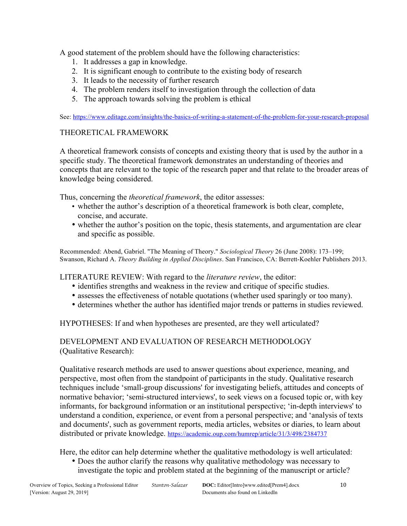A good statement of the problem should have the following characteristics:

- 1. It addresses a gap in knowledge.
- 2. It is significant enough to contribute to the existing body of research
- 3. It leads to the necessity of further research
- 4. The problem renders itself to investigation through the collection of data
- 5. The approach towards solving the problem is ethical

See: https://www.editage.com/insights/the-basics-of-writing-a-statement-of-the-problem-for-your-research-proposal

### THEORETICAL FRAMEWORK

A theoretical framework consists of concepts and existing theory that is used by the author in a specific study. The theoretical framework demonstrates an understanding of theories and concepts that are relevant to the topic of the research paper and that relate to the broader areas of knowledge being considered.

Thus, concerning the *theoretical framework*, the editor assesses:

- whether the author's description of a theoretical framework is both clear, complete, concise, and accurate.
- whether the author's position on the topic, thesis statements, and argumentation are clear and specific as possible.

Recommended: Abend, Gabriel. "The Meaning of Theory." *Sociological Theory* 26 (June 2008): 173–199; Swanson, Richard A. *Theory Building in Applied Disciplines*. San Francisco, CA: Berrett-Koehler Publishers 2013.

LITERATURE REVIEW: With regard to the *literature review*, the editor:

- identifies strengths and weakness in the review and critique of specific studies.
- assesses the effectiveness of notable quotations (whether used sparingly or too many).
- determines whether the author has identified major trends or patterns in studies reviewed.

HYPOTHESES: If and when hypotheses are presented, are they well articulated?

### DEVELOPMENT AND EVALUATION OF RESEARCH METHODOLOGY (Qualitative Research):

Qualitative research methods are used to answer questions about experience, meaning, and perspective, most often from the standpoint of participants in the study. Qualitative research techniques include 'small-group discussions' for investigating beliefs, attitudes and concepts of normative behavior; 'semi-structured interviews', to seek views on a focused topic or, with key informants, for background information or an institutional perspective; 'in-depth interviews' to understand a condition, experience, or event from a personal perspective; and 'analysis of texts and documents', such as government reports, media articles, websites or diaries, to learn about distributed or private knowledge. https://academic.oup.com/humrep/article/31/3/498/2384737

Here, the editor can help determine whether the qualitative methodology is well articulated:

• Does the author clarify the reasons why qualitative methodology was necessary to investigate the topic and problem stated at the beginning of the manuscript or article?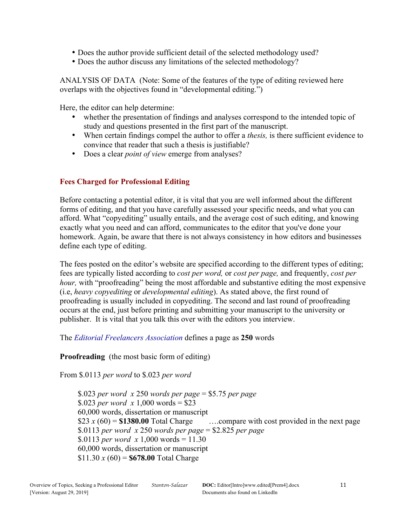- Does the author provide sufficient detail of the selected methodology used?
- Does the author discuss any limitations of the selected methodology?

ANALYSIS OF DATA (Note: Some of the features of the type of editing reviewed here overlaps with the objectives found in "developmental editing.")

Here, the editor can help determine:

- whether the presentation of findings and analyses correspond to the intended topic of study and questions presented in the first part of the manuscript.
- When certain findings compel the author to offer a *thesis,* is there sufficient evidence to convince that reader that such a thesis is justifiable?
- Does a clear *point of view* emerge from analyses?

## **Fees Charged for Professional Editing**

Before contacting a potential editor, it is vital that you are well informed about the different forms of editing, and that you have carefully assessed your specific needs, and what you can afford. What "copyediting" usually entails, and the average cost of such editing, and knowing exactly what you need and can afford, communicates to the editor that you've done your homework. Again, be aware that there is not always consistency in how editors and businesses define each type of editing.

The fees posted on the editor's website are specified according to the different types of editing; fees are typically listed according to *cost per word,* or *cost per page,* and frequently, *cost per hour,* with "proofreading" being the most affordable and substantive editing the most expensive (i.e, *heavy copyediting* or *developmental editing*). As stated above, the first round of proofreading is usually included in copyediting. The second and last round of proofreading occurs at the end, just before printing and submitting your manuscript to the university or publisher. It is vital that you talk this over with the editors you interview.

The *Editorial Freelancers Association* defines a page as **250** words

**Proofreading** (the most basic form of editing)

From \$.0113 *per word* to \$.023 *per word*

\$.023 *per word x* 250 *words per page* = \$5.75 *per page* \$.023 *per word*  $x 1,000$  words = \$23 60,000 words, dissertation or manuscript \$23  $x(60) =$  \$1380.00 Total Charge .....compare with cost provided in the next page \$.0113 *per word x* 250 *words per page* = \$2.825 *per page* \$.0113 *per word*  $x 1,000$  words = 11.30 60,000 words, dissertation or manuscript \$11.30  $x(60) = $678.00$  Total Charge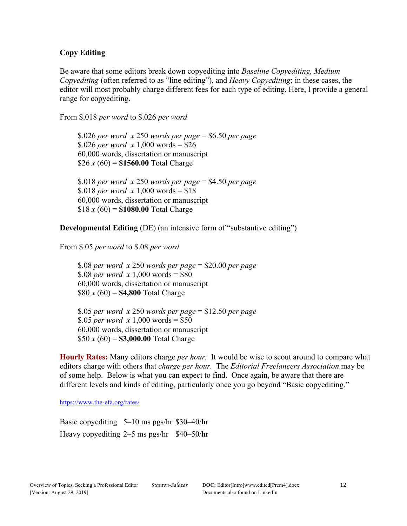### **Copy Editing**

Be aware that some editors break down copyediting into *Baseline Copyediting, Medium Copyediting* (often referred to as "line editing"), and *Heavy Copyediting*; in these cases, the editor will most probably charge different fees for each type of editing. Here, I provide a general range for copyediting.

From \$.018 *per word* to \$.026 *per word*

\$.026 *per word x* 250 *words per page* = \$6.50 *per page* \$.026 *per word*  $x 1,000$  words = \$26 60,000 words, dissertation or manuscript  $$26 x (60) = $1560.00$  Total Charge \$.018 *per word x* 250 *words per page* = \$4.50 *per page*

\$.018 *per word*  $x 1,000$  words = \$18 60,000 words, dissertation or manuscript  $$18 \times (60) = $1080.00$  Total Charge

**Developmental Editing** (DE) (an intensive form of "substantive editing")

From \$.05 *per word* to \$.08 *per word*

\$.08 *per word x* 250 *words per page* = \$20.00 *per page* \$.08 *per word*  $x 1,000$  words = \$80 60,000 words, dissertation or manuscript  $$80 x (60) = $4,800$  Total Charge

\$.05 *per word x* 250 *words per page* = \$12.50 *per page* \$.05 *per word*  $x 1,000$  words = \$50 60,000 words, dissertation or manuscript  $$50 x (60) = $3,000.00$  Total Charge

**Hourly Rates:** Many editors charge *per hour.* It would be wise to scout around to compare what editors charge with others that *charge per hour.* The *Editorial Freelancers Association* may be of some help. Below is what you can expect to find. Once again, be aware that there are different levels and kinds of editing, particularly once you go beyond "Basic copyediting."

https://www.the-efa.org/rates/

Basic copyediting 5–10 ms pgs/hr \$30–40/hr Heavy copyediting 2–5 ms pgs/hr \$40–50/hr